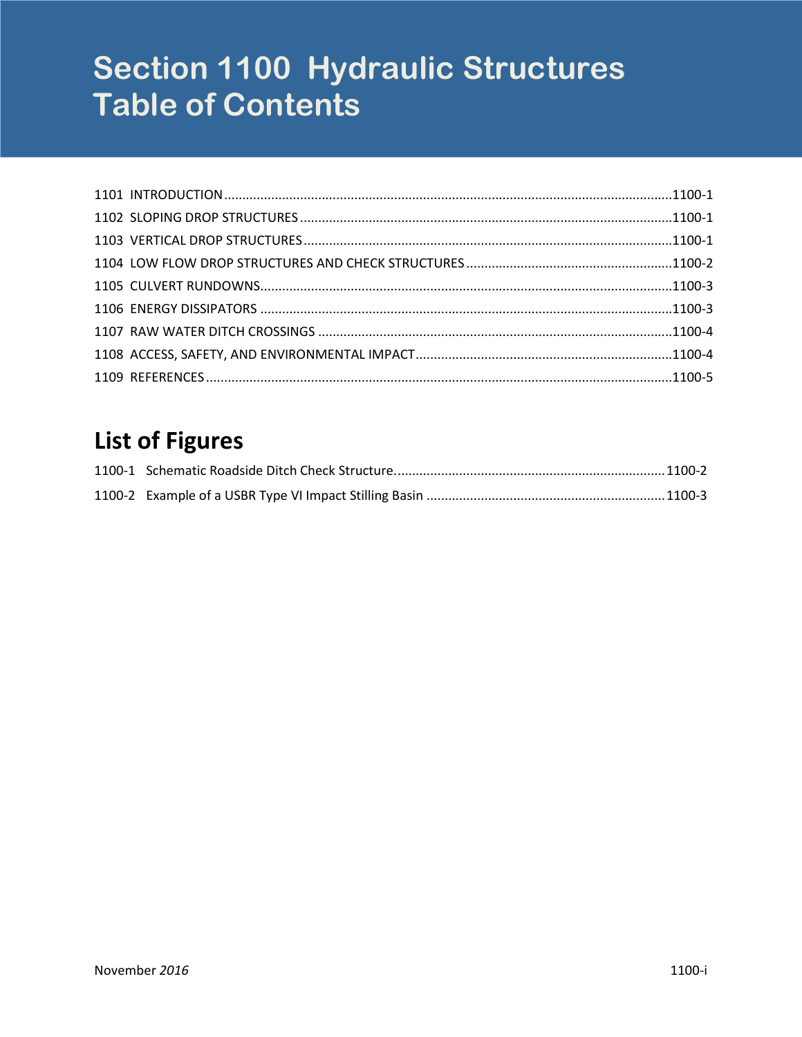# **Section 1100 Hydraulic Structures Table of Contents**

# **List of Figures**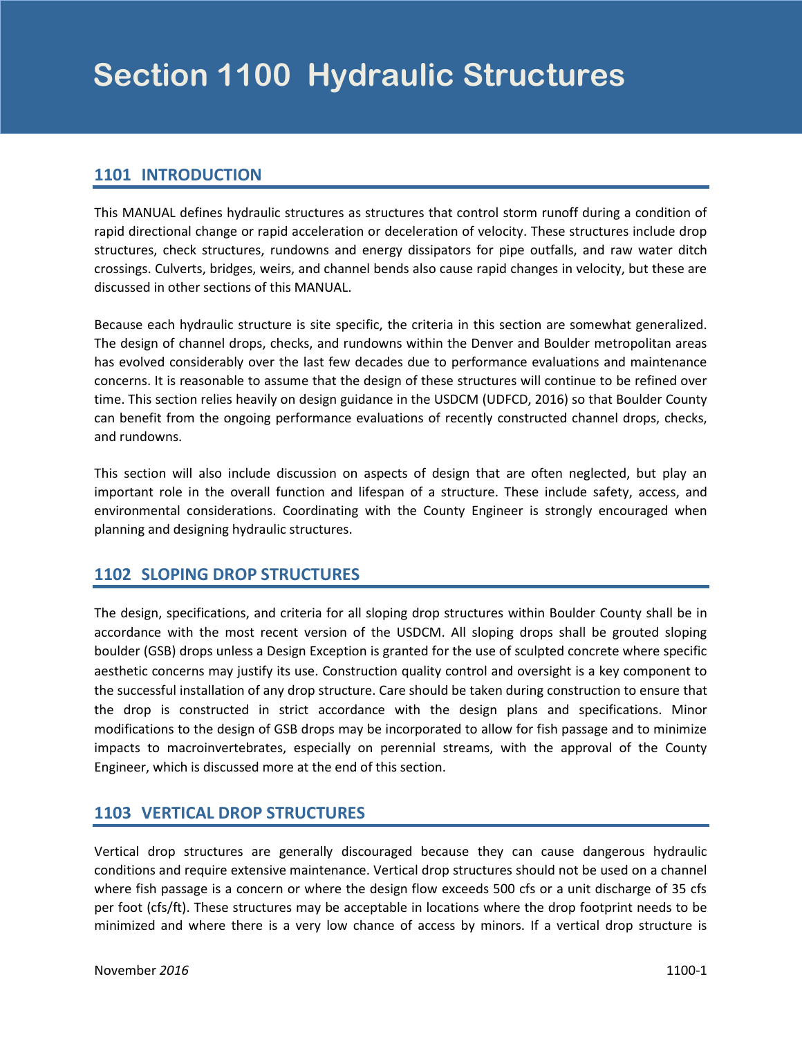# <span id="page-2-0"></span>**1101 INTRODUCTION**

This MANUAL defines hydraulic structures as structures that control storm runoff during a condition of rapid directional change or rapid acceleration or deceleration of velocity. These structures include drop structures, check structures, rundowns and energy dissipators for pipe outfalls, and raw water ditch crossings. Culverts, bridges, weirs, and channel bends also cause rapid changes in velocity, but these are discussed in other sections of this MANUAL.

Because each hydraulic structure is site specific, the criteria in this section are somewhat generalized. The design of channel drops, checks, and rundowns within the Denver and Boulder metropolitan areas has evolved considerably over the last few decades due to performance evaluations and maintenance concerns. It is reasonable to assume that the design of these structures will continue to be refined over time. This section relies heavily on design guidance in the USDCM (UDFCD, 2016) so that Boulder County can benefit from the ongoing performance evaluations of recently constructed channel drops, checks, and rundowns.

This section will also include discussion on aspects of design that are often neglected, but play an important role in the overall function and lifespan of a structure. These include safety, access, and environmental considerations. Coordinating with the County Engineer is strongly encouraged when planning and designing hydraulic structures.

# **1102 SLOPING DROP STRUCTURES**

The design, specifications, and criteria for all sloping drop structures within Boulder County shall be in accordance with the most recent version of the USDCM. All sloping drops shall be grouted sloping boulder (GSB) drops unless a Design Exception is granted for the use of sculpted concrete where specific aesthetic concerns may justify its use. Construction quality control and oversight is a key component to the successful installation of any drop structure. Care should be taken during construction to ensure that the drop is constructed in strict accordance with the design plans and specifications. Minor modifications to the design of GSB drops may be incorporated to allow for fish passage and to minimize impacts to macroinvertebrates, especially on perennial streams, with the approval of the County Engineer, which is discussed more at the end of this section.

# **1103 VERTICAL DROP STRUCTURES**

Vertical drop structures are generally discouraged because they can cause dangerous hydraulic conditions and require extensive maintenance. Vertical drop structures should not be used on a channel where fish passage is a concern or where the design flow exceeds 500 cfs or a unit discharge of 35 cfs per foot (cfs/ft). These structures may be acceptable in locations where the drop footprint needs to be minimized and where there is a very low chance of access by minors. If a vertical drop structure is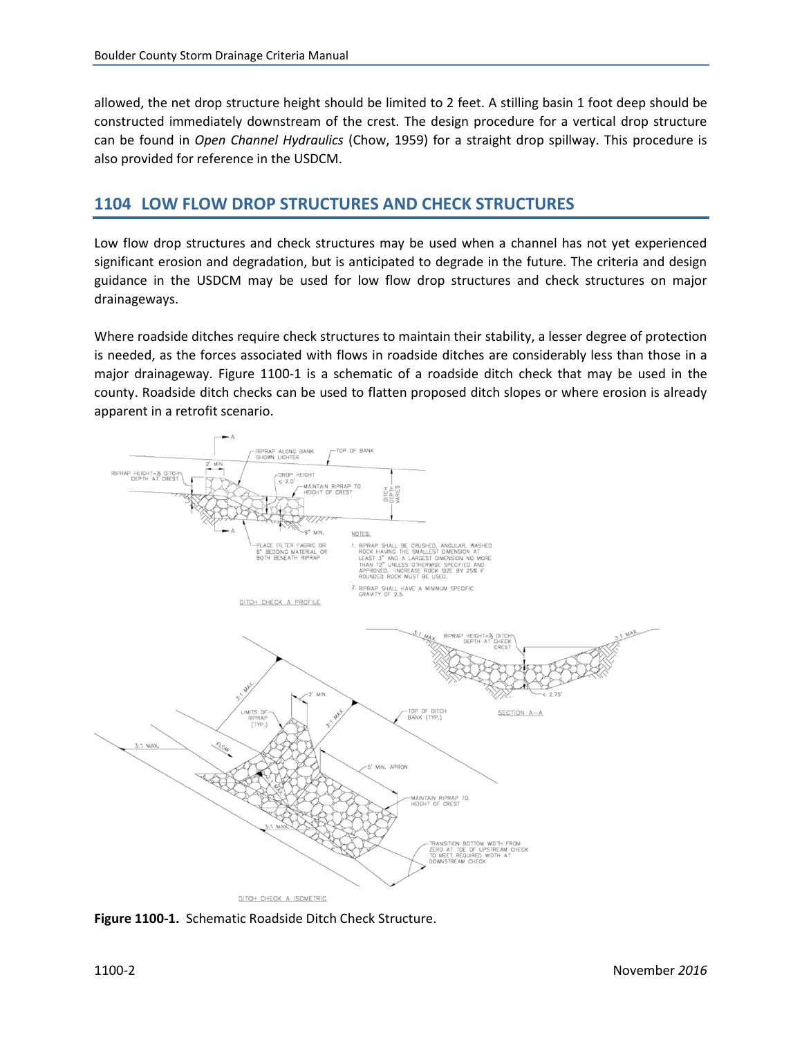<span id="page-3-0"></span>allowed, the net drop structure height should be limited to 2 feet. A stilling basin 1 foot deep should be constructed immediately downstream of the crest. The design procedure for a vertical drop structure can be found in *Open Channel Hydraulics* (Chow, 1959) for a straight drop spillway. This procedure is also provided for reference in the USDCM.

#### **1104 LOW FLOW DROP STRUCTURES AND CHECK STRUCTURES**

Low flow drop structures and check structures may be used when a channel has not yet experienced significant erosion and degradation, but is anticipated to degrade in the future. The criteria and design guidance in the USDCM may be used for low flow drop structures and check structures on major drainageways.

Where roadside ditches require check structures to maintain their stability, a lesser degree of protection is needed, as the forces associated with flows in roadside ditches are considerably less than those in a major drainageway. Figure 1100-1 is a schematic of a roadside ditch check that may be used in the county. Roadside ditch checks can be used to flatten proposed ditch slopes or where erosion is already apparent in a retrofit scenario.



**Figure 1100-1.** Schematic Roadside Ditch Check Structure.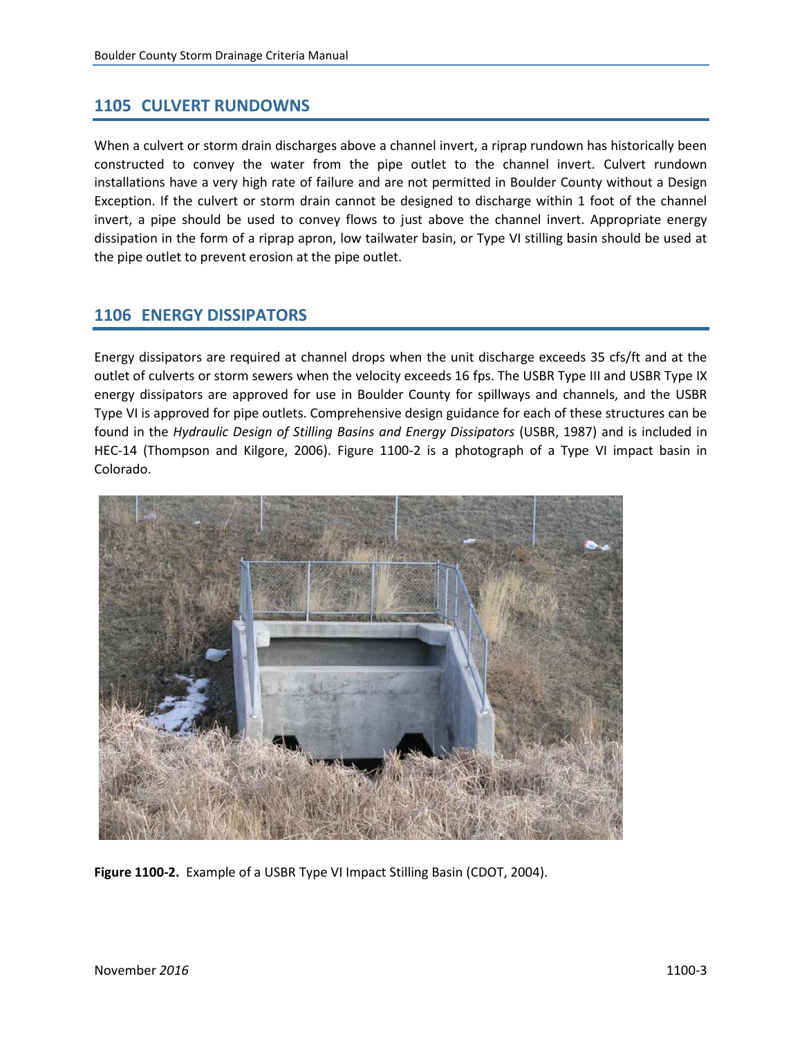#### <span id="page-4-0"></span>**1105 CULVERT RUNDOWNS**

When a culvert or storm drain discharges above a channel invert, a riprap rundown has historically been constructed to convey the water from the pipe outlet to the channel invert. Culvert rundown installations have a very high rate of failure and are not permitted in Boulder County without a Design Exception. If the culvert or storm drain cannot be designed to discharge within 1 foot of the channel invert, a pipe should be used to convey flows to just above the channel invert. Appropriate energy dissipation in the form of a riprap apron, low tailwater basin, or Type VI stilling basin should be used at the pipe outlet to prevent erosion at the pipe outlet.

# **1106 ENERGY DISSIPATORS**

Energy dissipators are required at channel drops when the unit discharge exceeds 35 cfs/ft and at the outlet of culverts or storm sewers when the velocity exceeds 16 fps. The USBR Type III and USBR Type IX energy dissipators are approved for use in Boulder County for spillways and channels, and the USBR Type VI is approved for pipe outlets. Comprehensive design guidance for each of these structures can be found in the *Hydraulic Design of Stilling Basins and Energy Dissipators* (USBR, 1987) and is included in HEC-14 (Thompson and Kilgore, 2006). Figure 1100-2 is a photograph of a Type VI impact basin in Colorado.



**Figure 1100-2.** Example of a USBR Type VI Impact Stilling Basin (CDOT, 2004).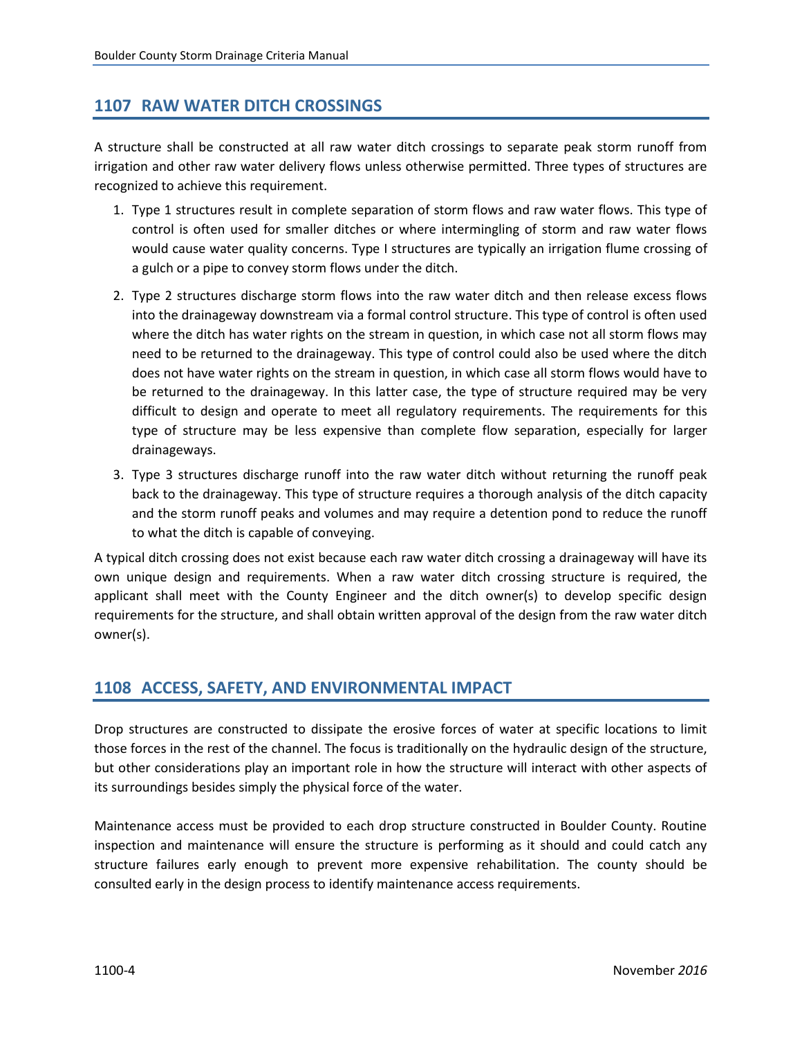### <span id="page-5-0"></span>**1107 RAW WATER DITCH CROSSINGS**

A structure shall be constructed at all raw water ditch crossings to separate peak storm runoff from irrigation and other raw water delivery flows unless otherwise permitted. Three types of structures are recognized to achieve this requirement.

- 1. Type 1 structures result in complete separation of storm flows and raw water flows. This type of control is often used for smaller ditches or where intermingling of storm and raw water flows would cause water quality concerns. Type I structures are typically an irrigation flume crossing of a gulch or a pipe to convey storm flows under the ditch.
- 2. Type 2 structures discharge storm flows into the raw water ditch and then release excess flows into the drainageway downstream via a formal control structure. This type of control is often used where the ditch has water rights on the stream in question, in which case not all storm flows may need to be returned to the drainageway. This type of control could also be used where the ditch does not have water rights on the stream in question, in which case all storm flows would have to be returned to the drainageway. In this latter case, the type of structure required may be very difficult to design and operate to meet all regulatory requirements. The requirements for this type of structure may be less expensive than complete flow separation, especially for larger drainageways.
- 3. Type 3 structures discharge runoff into the raw water ditch without returning the runoff peak back to the drainageway. This type of structure requires a thorough analysis of the ditch capacity and the storm runoff peaks and volumes and may require a detention pond to reduce the runoff to what the ditch is capable of conveying.

A typical ditch crossing does not exist because each raw water ditch crossing a drainageway will have its own unique design and requirements. When a raw water ditch crossing structure is required, the applicant shall meet with the County Engineer and the ditch owner(s) to develop specific design requirements for the structure, and shall obtain written approval of the design from the raw water ditch owner(s).

#### **1108 ACCESS, SAFETY, AND ENVIRONMENTAL IMPACT**

Drop structures are constructed to dissipate the erosive forces of water at specific locations to limit those forces in the rest of the channel. The focus is traditionally on the hydraulic design of the structure, but other considerations play an important role in how the structure will interact with other aspects of its surroundings besides simply the physical force of the water.

Maintenance access must be provided to each drop structure constructed in Boulder County. Routine inspection and maintenance will ensure the structure is performing as it should and could catch any structure failures early enough to prevent more expensive rehabilitation. The county should be consulted early in the design process to identify maintenance access requirements.